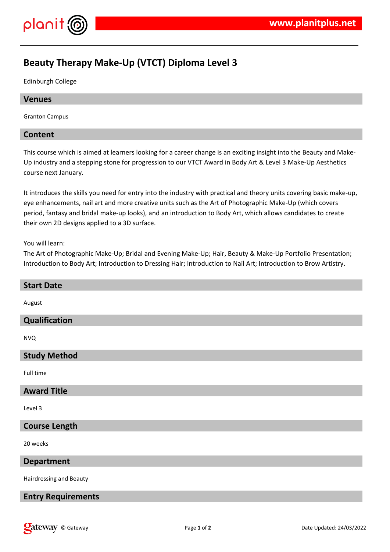

# **Beauty Therapy Make-Up (VTCT) Diploma Level 3**

Edinburgh College

### **Venues**

Granton Campus

### **Content**

This course which is aimed at learners looking for a career change is an exciting insight into the Beauty and Make-Up industry and a stepping stone for progression to our VTCT Award in Body Art & Level 3 Make-Up Aesthetics course next January.

It introduces the skills you need for entry into the industry with practical and theory units covering basic make-up, eye enhancements, nail art and more creative units such as the Art of Photographic Make-Up (which covers period, fantasy and bridal make-up looks), and an introduction to Body Art, which allows candidates to create their own 2D designs applied to a 3D surface.

#### You will learn:

The Art of Photographic Make-Up; Bridal and Evening Make-Up; Hair, Beauty & Make-Up Portfolio Presentation; Introduction to Body Art; Introduction to Dressing Hair; Introduction to Nail Art; Introduction to Brow Artistry.

| <b>Start Date</b>         |
|---------------------------|
| August                    |
| Qualification             |
| <b>NVQ</b>                |
| <b>Study Method</b>       |
| Full time                 |
| <b>Award Title</b>        |
| Level 3                   |
| <b>Course Length</b>      |
| 20 weeks                  |
| <b>Department</b>         |
| Hairdressing and Beauty   |
| <b>Entry Requirements</b> |
|                           |